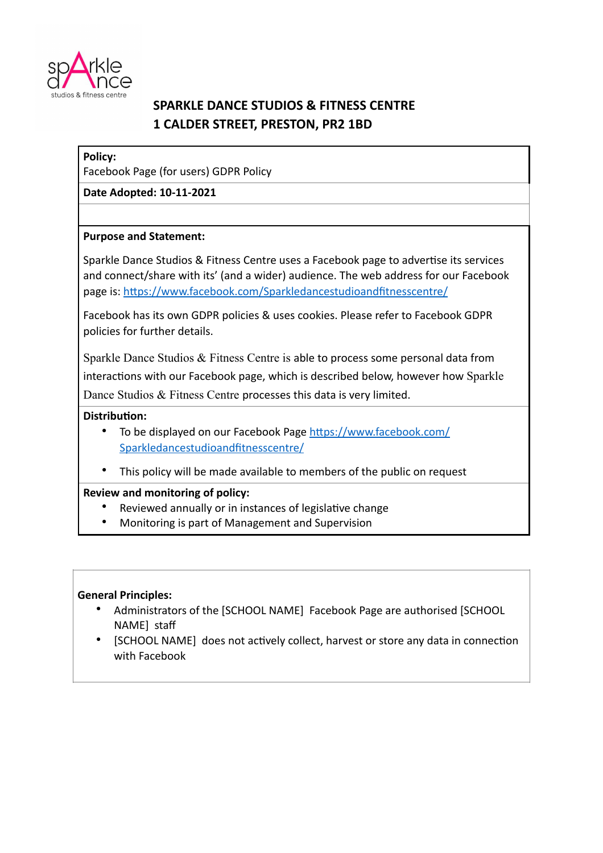

# **SPARKLE DANCE STUDIOS & FITNESS CENTRE 1 CALDER STREET, PRESTON, PR2 1BD**

## **Policy:**

Facebook Page (for users) GDPR Policy

**Date Adopted: 10-11-2021**

## **Purpose and Statement:**

Sparkle Dance Studios & Fitness Centre uses a Facebook page to advertise its services and connect/share with its' (and a wider) audience. The web address for our Facebook page is: <https://www.facebook.com/Sparkledancestudioandfitnesscentre/>

Facebook has its own GDPR policies & uses cookies. Please refer to Facebook GDPR policies for further details.

Sparkle Dance Studios & Fitness Centre is able to process some personal data from interactions with our Facebook page, which is described below, however how Sparkle Dance Studios & Fitness Centre processes this data is very limited.

## **Distribution:**

- [To be displayed on our Facebook Page https://www.facebook.com/](https://www.facebook.com/Sparkledancestudioandfitnesscentre/) Sparkledancestudioandfitnesscentre/
- This policy will be made available to members of the public on request

# **Review and monitoring of policy:**

- Reviewed annually or in instances of legislative change
- Monitoring is part of Management and Supervision

#### **General Principles:**

- Administrators of the [SCHOOL NAME] Facebook Page are authorised [SCHOOL NAME] staff
- [SCHOOL NAME] does not actively collect, harvest or store any data in connection with Facebook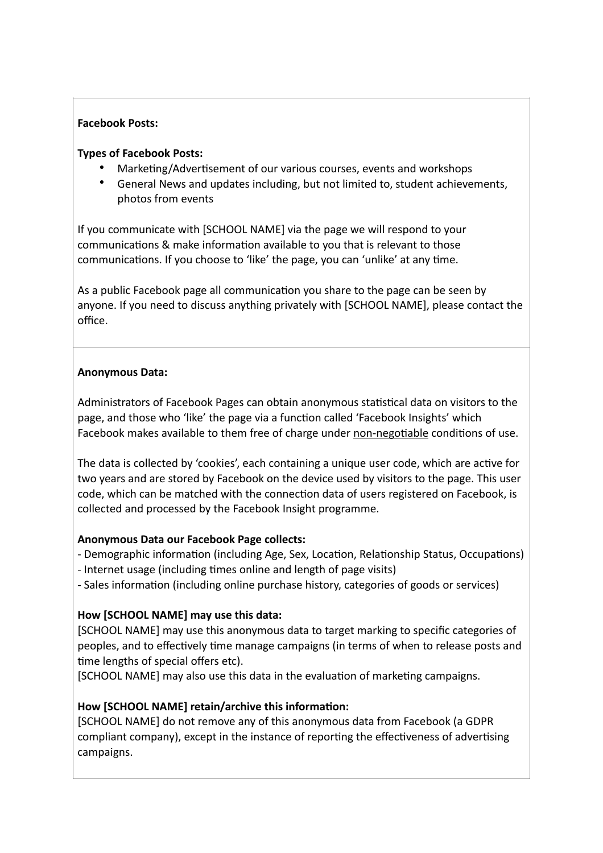## **Facebook Posts:**

## **Types of Facebook Posts:**

- Marketing/Advertisement of our various courses, events and workshops
- General News and updates including, but not limited to, student achievements, photos from events

If you communicate with [SCHOOL NAME] via the page we will respond to your communications & make information available to you that is relevant to those communications. If you choose to 'like' the page, you can 'unlike' at any time.

As a public Facebook page all communication you share to the page can be seen by anyone. If you need to discuss anything privately with [SCHOOL NAME], please contact the office.

## **Anonymous Data:**

Administrators of Facebook Pages can obtain anonymous statistical data on visitors to the page, and those who 'like' the page via a function called 'Facebook Insights' which Facebook makes available to them free of charge under non-negotiable conditions of use.

The data is collected by 'cookies', each containing a unique user code, which are active for two years and are stored by Facebook on the device used by visitors to the page. This user code, which can be matched with the connection data of users registered on Facebook, is collected and processed by the Facebook Insight programme.

# **Anonymous Data our Facebook Page collects:**

- Demographic information (including Age, Sex, Location, Relationship Status, Occupations)

- Internet usage (including times online and length of page visits)
- Sales information (including online purchase history, categories of goods or services)

# **How [SCHOOL NAME] may use this data:**

[SCHOOL NAME] may use this anonymous data to target marking to specific categories of peoples, and to effectively time manage campaigns (in terms of when to release posts and time lengths of special offers etc).

[SCHOOL NAME] may also use this data in the evaluation of marketing campaigns.

# **How [SCHOOL NAME] retain/archive this information:**

[SCHOOL NAME] do not remove any of this anonymous data from Facebook (a GDPR compliant company), except in the instance of reporting the effectiveness of advertising campaigns.